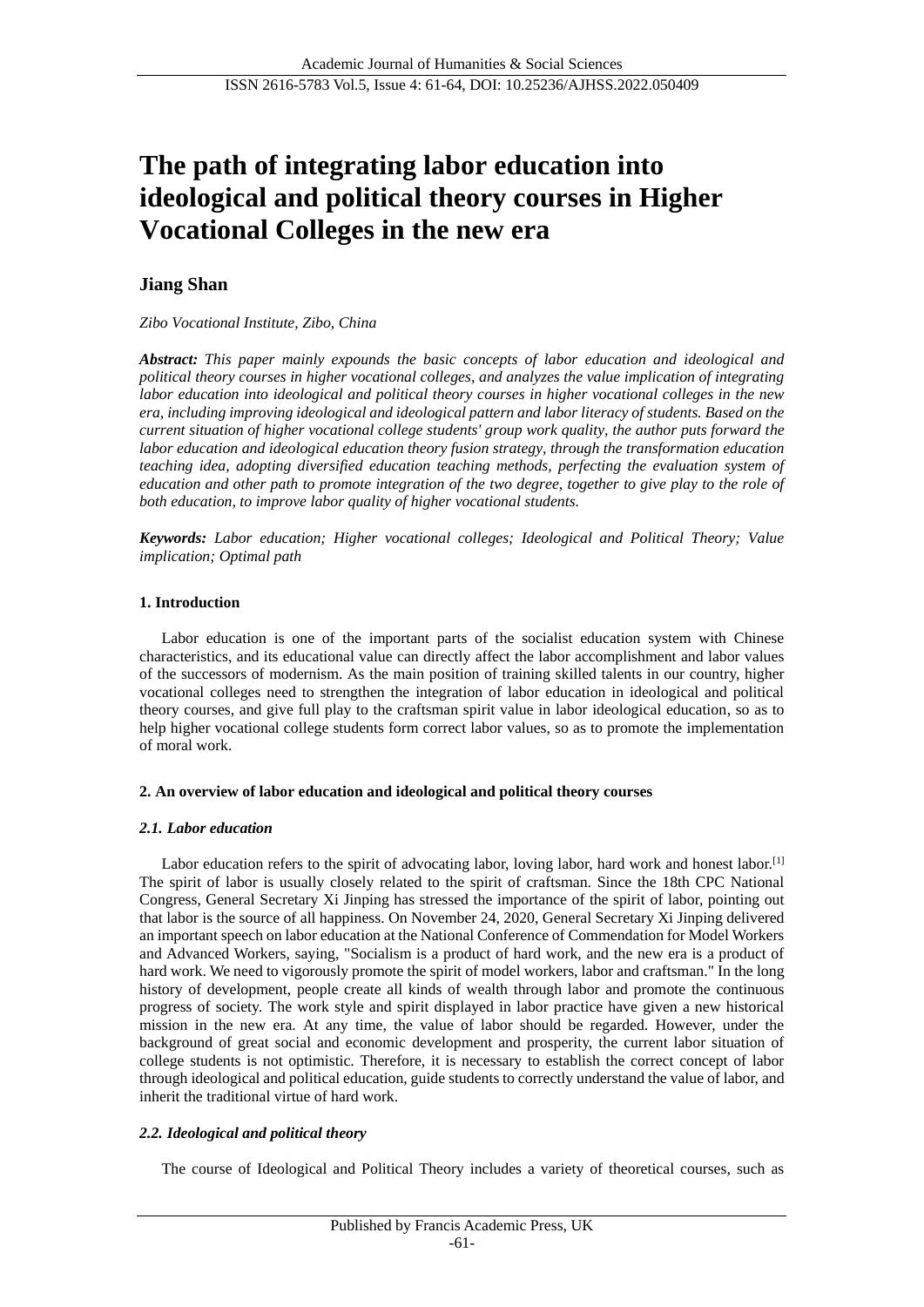# **The path of integrating labor education into ideological and political theory courses in Higher Vocational Colleges in the new era**

# **Jiang Shan**

*Zibo Vocational Institute, Zibo, China*

*Abstract: This paper mainly expounds the basic concepts of labor education and ideological and political theory courses in higher vocational colleges, and analyzes the value implication of integrating labor education into ideological and political theory courses in higher vocational colleges in the new era, including improving ideological and ideological pattern and labor literacy of students. Based on the current situation of higher vocational college students' group work quality, the author puts forward the labor education and ideological education theory fusion strategy, through the transformation education teaching idea, adopting diversified education teaching methods, perfecting the evaluation system of education and other path to promote integration of the two degree, together to give play to the role of both education, to improve labor quality of higher vocational students.*

*Keywords: Labor education; Higher vocational colleges; Ideological and Political Theory; Value implication; Optimal path*

## **1. Introduction**

Labor education is one of the important parts of the socialist education system with Chinese characteristics, and its educational value can directly affect the labor accomplishment and labor values of the successors of modernism. As the main position of training skilled talents in our country, higher vocational colleges need to strengthen the integration of labor education in ideological and political theory courses, and give full play to the craftsman spirit value in labor ideological education, so as to help higher vocational college students form correct labor values, so as to promote the implementation of moral work.

# **2. An overview of labor education and ideological and political theory courses**

#### *2.1. Labor education*

Labor education refers to the spirit of advocating labor, loving labor, hard work and honest labor.<sup>[1]</sup> The spirit of labor is usually closely related to the spirit of craftsman. Since the 18th CPC National Congress, General Secretary Xi Jinping has stressed the importance of the spirit of labor, pointing out that labor is the source of all happiness. On November 24, 2020, General Secretary Xi Jinping delivered an important speech on labor education at the National Conference of Commendation for Model Workers and Advanced Workers, saying, "Socialism is a product of hard work, and the new era is a product of hard work. We need to vigorously promote the spirit of model workers, labor and craftsman." In the long history of development, people create all kinds of wealth through labor and promote the continuous progress of society. The work style and spirit displayed in labor practice have given a new historical mission in the new era. At any time, the value of labor should be regarded. However, under the background of great social and economic development and prosperity, the current labor situation of college students is not optimistic. Therefore, it is necessary to establish the correct concept of labor through ideological and political education, guide students to correctly understand the value of labor, and inherit the traditional virtue of hard work.

# *2.2. Ideological and political theory*

The course of Ideological and Political Theory includes a variety of theoretical courses, such as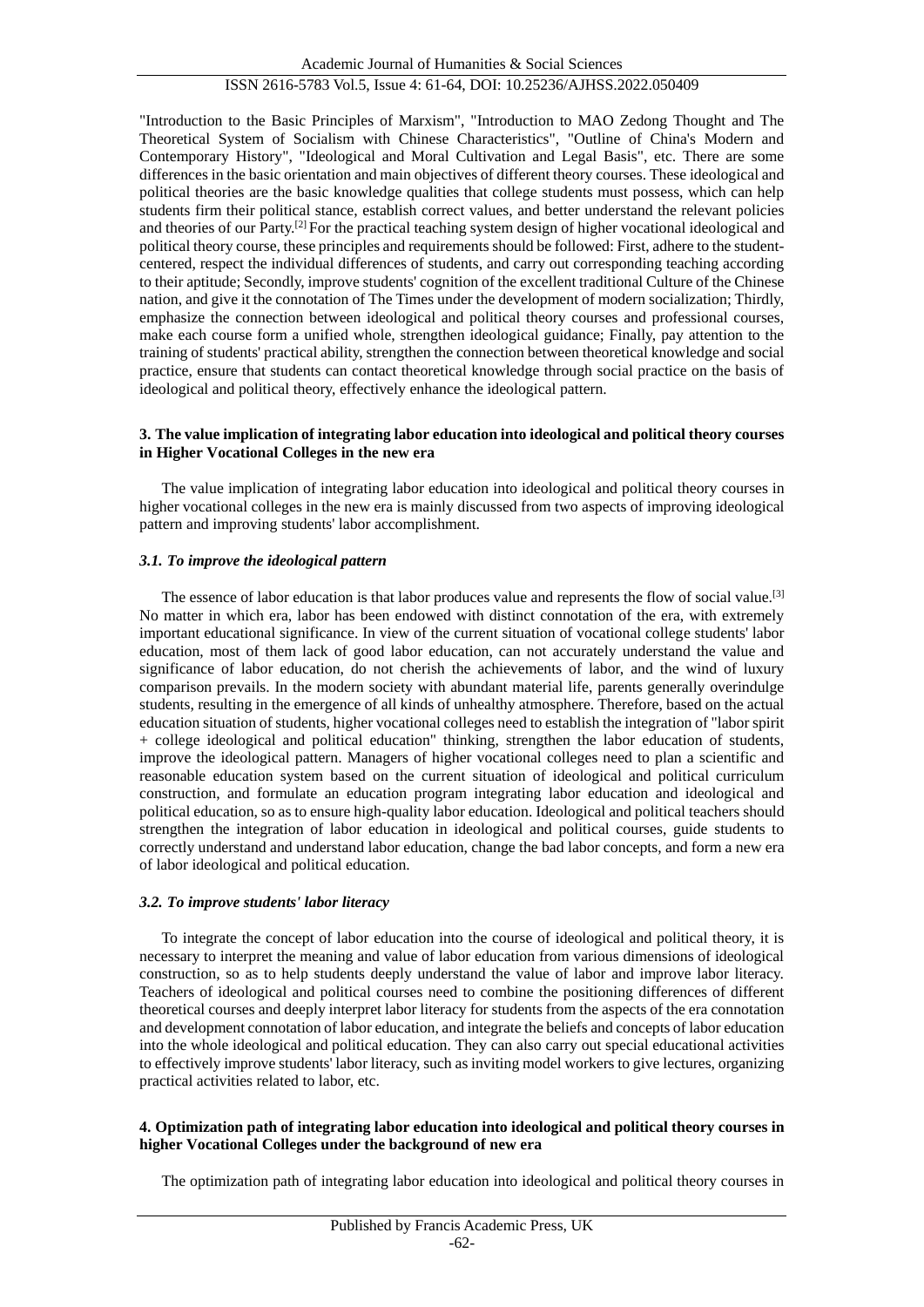"Introduction to the Basic Principles of Marxism", "Introduction to MAO Zedong Thought and The Theoretical System of Socialism with Chinese Characteristics", "Outline of China's Modern and Contemporary History", "Ideological and Moral Cultivation and Legal Basis", etc. There are some differences in the basic orientation and main objectives of different theory courses. These ideological and political theories are the basic knowledge qualities that college students must possess, which can help students firm their political stance, establish correct values, and better understand the relevant policies and theories of our Party.[2] For the practical teaching system design of higher vocational ideological and political theory course, these principles and requirements should be followed: First, adhere to the studentcentered, respect the individual differences of students, and carry out corresponding teaching according to their aptitude; Secondly, improve students' cognition of the excellent traditional Culture of the Chinese nation, and give it the connotation of The Times under the development of modern socialization; Thirdly, emphasize the connection between ideological and political theory courses and professional courses, make each course form a unified whole, strengthen ideological guidance; Finally, pay attention to the training of students' practical ability, strengthen the connection between theoretical knowledge and social practice, ensure that students can contact theoretical knowledge through social practice on the basis of ideological and political theory, effectively enhance the ideological pattern.

## **3. The value implication of integrating labor education into ideological and political theory courses in Higher Vocational Colleges in the new era**

The value implication of integrating labor education into ideological and political theory courses in higher vocational colleges in the new era is mainly discussed from two aspects of improving ideological pattern and improving students' labor accomplishment.

## *3.1. To improve the ideological pattern*

The essence of labor education is that labor produces value and represents the flow of social value.<sup>[3]</sup> No matter in which era, labor has been endowed with distinct connotation of the era, with extremely important educational significance. In view of the current situation of vocational college students' labor education, most of them lack of good labor education, can not accurately understand the value and significance of labor education, do not cherish the achievements of labor, and the wind of luxury comparison prevails. In the modern society with abundant material life, parents generally overindulge students, resulting in the emergence of all kinds of unhealthy atmosphere. Therefore, based on the actual education situation of students, higher vocational colleges need to establish the integration of "labor spirit + college ideological and political education" thinking, strengthen the labor education of students, improve the ideological pattern. Managers of higher vocational colleges need to plan a scientific and reasonable education system based on the current situation of ideological and political curriculum construction, and formulate an education program integrating labor education and ideological and political education, so as to ensure high-quality labor education. Ideological and political teachers should strengthen the integration of labor education in ideological and political courses, guide students to correctly understand and understand labor education, change the bad labor concepts, and form a new era of labor ideological and political education.

#### *3.2. To improve students' labor literacy*

To integrate the concept of labor education into the course of ideological and political theory, it is necessary to interpret the meaning and value of labor education from various dimensions of ideological construction, so as to help students deeply understand the value of labor and improve labor literacy. Teachers of ideological and political courses need to combine the positioning differences of different theoretical courses and deeply interpret labor literacy for students from the aspects of the era connotation and development connotation of labor education, and integrate the beliefs and concepts of labor education into the whole ideological and political education. They can also carry out special educational activities to effectively improve students' labor literacy, such as inviting model workers to give lectures, organizing practical activities related to labor, etc.

#### **4. Optimization path of integrating labor education into ideological and political theory courses in higher Vocational Colleges under the background of new era**

The optimization path of integrating labor education into ideological and political theory courses in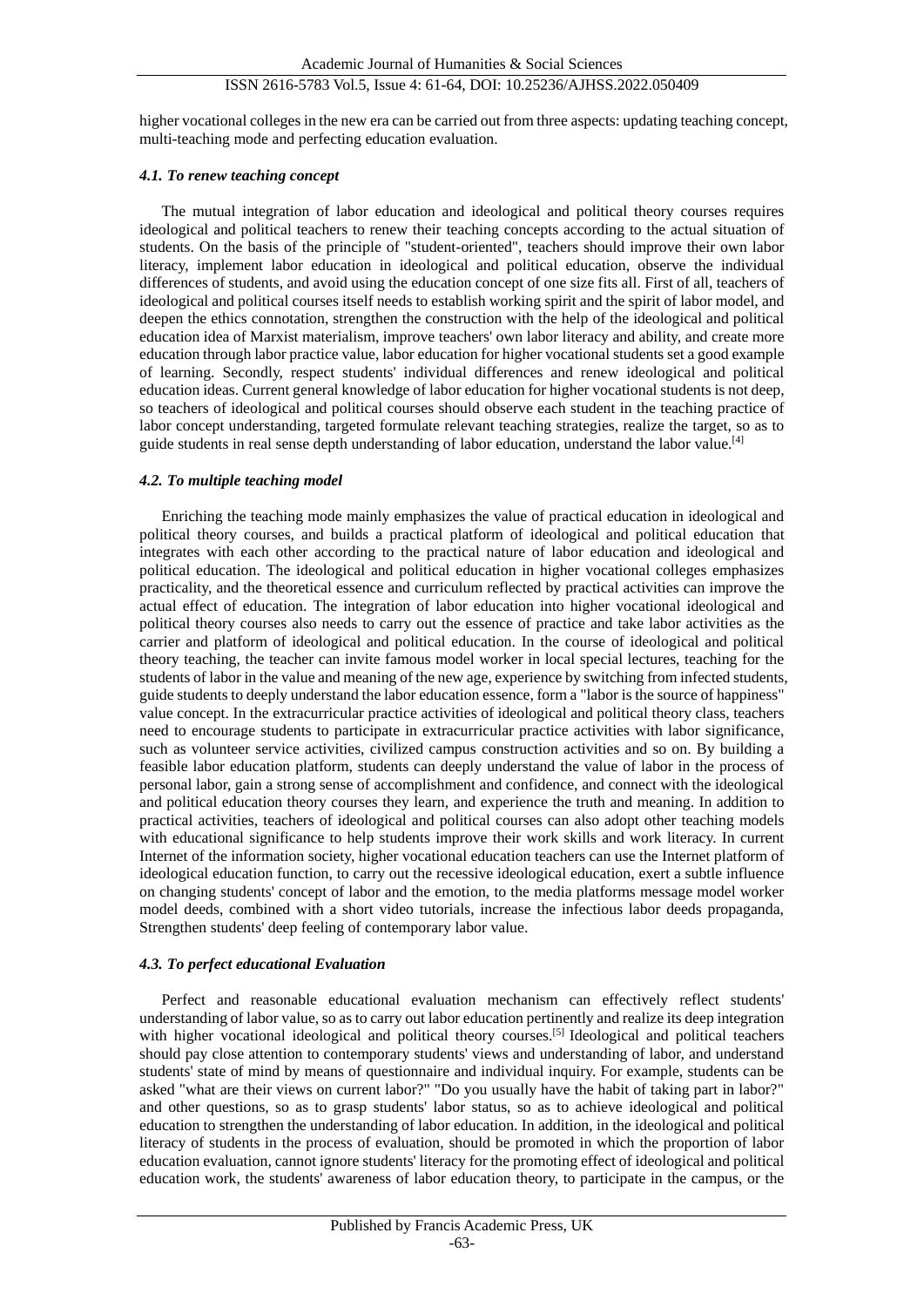# ISSN 2616-5783 Vol.5, Issue 4: 61-64, DOI: 10.25236/AJHSS.2022.050409

higher vocational colleges in the new era can be carried out from three aspects: updating teaching concept, multi-teaching mode and perfecting education evaluation.

#### *4.1. To renew teaching concept*

The mutual integration of labor education and ideological and political theory courses requires ideological and political teachers to renew their teaching concepts according to the actual situation of students. On the basis of the principle of "student-oriented", teachers should improve their own labor literacy, implement labor education in ideological and political education, observe the individual differences of students, and avoid using the education concept of one size fits all. First of all, teachers of ideological and political courses itself needs to establish working spirit and the spirit of labor model, and deepen the ethics connotation, strengthen the construction with the help of the ideological and political education idea of Marxist materialism, improve teachers' own labor literacy and ability, and create more education through labor practice value, labor education for higher vocational students set a good example of learning. Secondly, respect students' individual differences and renew ideological and political education ideas. Current general knowledge of labor education for higher vocational students is not deep, so teachers of ideological and political courses should observe each student in the teaching practice of labor concept understanding, targeted formulate relevant teaching strategies, realize the target, so as to guide students in real sense depth understanding of labor education, understand the labor value.<sup>[4]</sup>

#### *4.2. To multiple teaching model*

Enriching the teaching mode mainly emphasizes the value of practical education in ideological and political theory courses, and builds a practical platform of ideological and political education that integrates with each other according to the practical nature of labor education and ideological and political education. The ideological and political education in higher vocational colleges emphasizes practicality, and the theoretical essence and curriculum reflected by practical activities can improve the actual effect of education. The integration of labor education into higher vocational ideological and political theory courses also needs to carry out the essence of practice and take labor activities as the carrier and platform of ideological and political education. In the course of ideological and political theory teaching, the teacher can invite famous model worker in local special lectures, teaching for the students of labor in the value and meaning of the new age, experience by switching from infected students, guide students to deeply understand the labor education essence, form a "labor is the source of happiness" value concept. In the extracurricular practice activities of ideological and political theory class, teachers need to encourage students to participate in extracurricular practice activities with labor significance, such as volunteer service activities, civilized campus construction activities and so on. By building a feasible labor education platform, students can deeply understand the value of labor in the process of personal labor, gain a strong sense of accomplishment and confidence, and connect with the ideological and political education theory courses they learn, and experience the truth and meaning. In addition to practical activities, teachers of ideological and political courses can also adopt other teaching models with educational significance to help students improve their work skills and work literacy. In current Internet of the information society, higher vocational education teachers can use the Internet platform of ideological education function, to carry out the recessive ideological education, exert a subtle influence on changing students' concept of labor and the emotion, to the media platforms message model worker model deeds, combined with a short video tutorials, increase the infectious labor deeds propaganda, Strengthen students' deep feeling of contemporary labor value.

#### *4.3. To perfect educational Evaluation*

Perfect and reasonable educational evaluation mechanism can effectively reflect students' understanding of labor value, so as to carry out labor education pertinently and realize its deep integration with higher vocational ideological and political theory courses.<sup>[5]</sup> Ideological and political teachers should pay close attention to contemporary students' views and understanding of labor, and understand students' state of mind by means of questionnaire and individual inquiry. For example, students can be asked "what are their views on current labor?" "Do you usually have the habit of taking part in labor?" and other questions, so as to grasp students' labor status, so as to achieve ideological and political education to strengthen the understanding of labor education. In addition, in the ideological and political literacy of students in the process of evaluation, should be promoted in which the proportion of labor education evaluation, cannot ignore students' literacy for the promoting effect of ideological and political education work, the students' awareness of labor education theory, to participate in the campus, or the